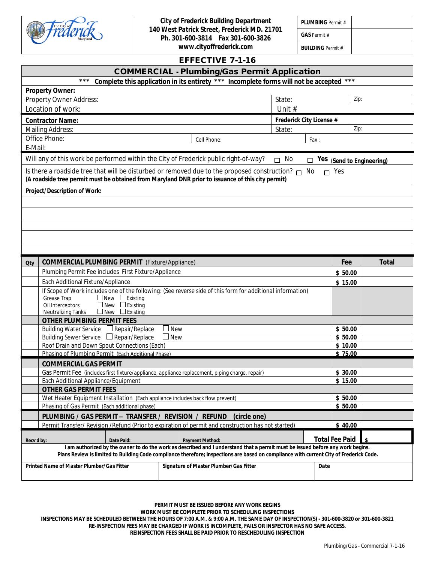

*City of Frederick Building Department 140 West Patrick Street, Frederick MD. 21701 Ph. 301-600-3814 Fax 301-600-3826*

*www.cityoffrederick.com*

*PLUMBING Permit # GAS Permit #*

*BUILDING Permit #*

#### **EFFECTIVE 7-1-16**

| <b>COMMERCIAL - Plumbing/Gas Permit Application</b>                                                                                                     |                          |              |  |  |  |
|---------------------------------------------------------------------------------------------------------------------------------------------------------|--------------------------|--------------|--|--|--|
| Complete this application in its entirety *** Incomplete forms will not be accepted<br>***<br>***                                                       |                          |              |  |  |  |
| <b>Property Owner:</b>                                                                                                                                  | Zip:                     |              |  |  |  |
| Property Owner Address:<br>State:                                                                                                                       |                          |              |  |  |  |
| Location of work:                                                                                                                                       | Unit #                   |              |  |  |  |
| <b>Contractor Name:</b>                                                                                                                                 | Frederick City License # |              |  |  |  |
| Mailing Address:                                                                                                                                        | Zip:<br>State:           |              |  |  |  |
| Office Phone:<br>Cell Phone:                                                                                                                            | Fax:                     |              |  |  |  |
| E-Mail:                                                                                                                                                 |                          |              |  |  |  |
| Will any of this work be performed within the City of Frederick public right-of-way?<br>$\Box$ No<br>$\Box$ Yes (Send to Engineering)                   |                          |              |  |  |  |
| Is there a roadside tree that will be disturbed or removed due to the proposed construction? $\Box$ No                                                  | $\Gamma$ Yes             |              |  |  |  |
| (A roadside tree permit must be obtained from Maryland DNR prior to issuance of this city permit)                                                       |                          |              |  |  |  |
| Project/Description of Work:                                                                                                                            |                          |              |  |  |  |
|                                                                                                                                                         |                          |              |  |  |  |
|                                                                                                                                                         |                          |              |  |  |  |
|                                                                                                                                                         |                          |              |  |  |  |
|                                                                                                                                                         |                          |              |  |  |  |
|                                                                                                                                                         |                          |              |  |  |  |
|                                                                                                                                                         |                          |              |  |  |  |
| <b>COMMERCIAL PLUMBING PERMIT</b> (Fixture/Appliance)<br>Qty                                                                                            | Fee                      | <b>Total</b> |  |  |  |
| Plumbing Permit Fee includes First Fixture/Appliance                                                                                                    | \$50.00                  |              |  |  |  |
| Each Additional Fixture/Appliance                                                                                                                       | \$15.00                  |              |  |  |  |
| If Scope of Work includes one of the following: (See reverse side of this form for additional information)<br>Grease Trap<br>$\Box$ New $\Box$ Existing |                          |              |  |  |  |
| $\Box$ New $\Box$ Existing<br>Oil Interceptors                                                                                                          |                          |              |  |  |  |
| Neutralizing Tanks □ New □ Existing                                                                                                                     |                          |              |  |  |  |
| <b>OTHER PLUMBING PERMIT FEES</b>                                                                                                                       |                          |              |  |  |  |
| <b>New</b><br>Building Water Service □ Repair/Replace                                                                                                   | \$50.00                  |              |  |  |  |
| Building Sewer Service $\Box$ Repair/Replace<br>$\Box$ New<br>Roof Drain and Down Spout Connections (Each)                                              | \$50.00<br>\$10.00       |              |  |  |  |
| Phasing of Plumbing Permit (Each Additional Phase)                                                                                                      | \$75.00                  |              |  |  |  |
| <b>COMMERCIAL GAS PERMIT</b>                                                                                                                            |                          |              |  |  |  |
| Gas Permit Fee (includes first fixture/appliance, appliance replacement, piping charge, repair)                                                         | \$30.00                  |              |  |  |  |
| Each Additional Appliance/Equipment                                                                                                                     | \$15.00                  |              |  |  |  |
| <b>OTHER GAS PERMIT FEES</b>                                                                                                                            |                          |              |  |  |  |
| Wet Heater Equipment Installation (Each appliance includes back flow prevent)                                                                           | \$50.00                  |              |  |  |  |
| Phasing of Gas Permit (Each additional phase)                                                                                                           | \$50.00                  |              |  |  |  |
| PLUMBING / GAS PERMIT - TRANSFER / REVISION / REFUND<br>(circle one)                                                                                    |                          |              |  |  |  |
| Permit Transfer/ Revision / Refund (Prior to expiration of permit and construction has not started)                                                     | \$40.00                  |              |  |  |  |
| Date Paid:<br><b>Payment Method:</b><br>Recv'd by:                                                                                                      | <b>Total Fee Paid</b>    |              |  |  |  |
| I am authorized by the owner to do the work as described and I understand that a permit must be issued before any work begins.                          |                          |              |  |  |  |
| Plans Review is limited to Building Code compliance therefore; inspections are based on compliance with current City of Frederick Code.                 |                          |              |  |  |  |
| Printed Name of Master Plumber/Gas Fitter<br>Signature of Master Plumber/Gas Fitter<br>Date                                                             |                          |              |  |  |  |
|                                                                                                                                                         |                          |              |  |  |  |

**PERMIT MUST BE ISSUED BEFORE ANY WORK BEGINS WORK MUST BE COMPLETE PRIOR TO SCHEDULING INSPECTIONS INSPECTIONS MAY BE SCHEDULED BETWEEN THE HOURS OF 7:00 A.M. & 9:00 A.M. THE SAME DAY OF INSPECTION(S) - 301-600-3820 or 301-600-3821 RE-INSPECTION FEES MAY BE CHARGED IF WORK IS INCOMPLETE, FAILS OR INSPECTOR HAS NO SAFE ACCESS. REINSPECTION FEES SHALL BE PAID PRIOR TO RESCHEDULING INSPECTION**